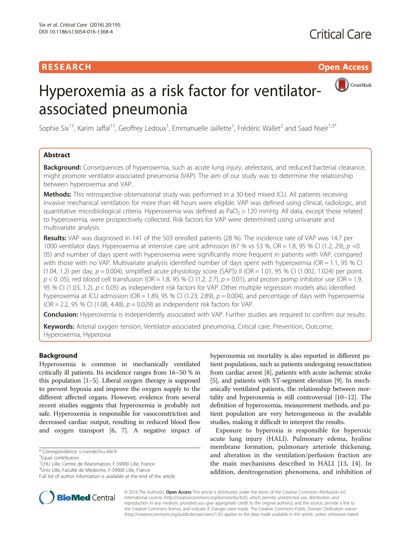# RESEARCH **RESEARCH CONSUMING THE CONSUMING THE CONSUMING THE CONSUMING TENS**



# Hyperoxemia as a risk factor for ventilatorassociated pneumonia

Sophie Six<sup>1†</sup>, Karim Jaffal<sup>1†</sup>, Geoffrey Ledoux<sup>1</sup>, Emmanuelle Jaillette<sup>1</sup>, Frédéric Wallet<sup>2</sup> and Saad Nseir<sup>1,3\*</sup>

## Abstract

Background: Consequences of hyperoxemia, such as acute lung injury, atelectasis, and reduced bacterial clearance, might promote ventilator-associated pneumonia (VAP). The aim of our study was to determine the relationship between hyperoxemia and VAP.

**Methods:** This retrospective observational study was performed in a 30-bed mixed ICU. All patients receiving invasive mechanical ventilation for more than 48 hours were eligible. VAP was defined using clinical, radiologic, and quantitative microbiological criteria. Hyperoxemia was defined as PaO<sub>2</sub> > 120 mmHg. All data, except those related to hyperoxemia, were prospectively collected. Risk factors for VAP were determined using univariate and multivariate analysis.

Results: VAP was diagnosed in 141 of the 503 enrolled patients (28 %). The incidence rate of VAP was 14.7 per 1000 ventilator days. Hyperoxemia at intensive care unit admission (67 % vs 53 %, OR = 1.8, 95 % CI (1.2, 29),  $p$  < 0. 05) and number of days spent with hyperoxemia were significantly more frequent in patients with VAP, compared with those with no VAP. Multivariate analysis identified number of days spent with hyperoxemia (OR = 1.1, 95 % CI (1.04, 1.2) per day,  $p = 0.004$ ), simplified acute physiology score (SAPS) II (OR = 1.01, 95 % CI (1.002, 1.024) per point,  $p$  < 0 .05), red blood cell transfusion (OR = 1.8, 95 % CI (1.2, 2.7),  $p$  = 0.01), and proton pomp inhibitor use (OR = 1.9, 95 % CI (1.03, 1.2), p < 0.05) as independent risk factors for VAP. Other multiple regression models also identified hyperoxemia at ICU admission (OR = 1.89, 95 % CI (1.23, 2.89),  $p = 0.004$ ), and percentage of days with hyperoxemia (OR = 2.2, 95 % CI (1.08, 4.48),  $p = 0.029$ ) as independent risk factors for VAP.

Conclusion: Hyperoxemia is independently associated with VAP. Further studies are required to confirm our results.

Keywords: Arterial oxygen tension, Ventilator-associated pneumonia, Critical care, Prevention, Outcome, Hyperoxemia, Hyperoxia

#### Background

Hyperoxemia is common in mechanically ventilated critically ill patients. Its incidence ranges from 16–50 % in this population [\[1](#page-6-0)–[5](#page-6-0)]. Liberal oxygen therapy is supposed to prevent hypoxia and improve the oxygen supply to the different affected organs. However, evidence from several recent studies suggests that hyperoxemia is probably not safe. Hyperoxemia is responsible for vasoconstriction and decreased cardiac output, resulting in reduced blood flow and oxygen transport [[6](#page-6-0), [7\]](#page-6-0). A negative impact of

hyperoxemia on mortality is also reported in different patient populations, such as patients undergoing resuscitation from cardiac arrest [\[8\]](#page-6-0), patients with acute ischemic stroke [[5](#page-6-0)], and patients with ST-segment elevation [[9](#page-6-0)]. In mechanically ventilated patients, the relationship between mortality and hyperoxemia is still controversial [[10](#page-6-0)–[12](#page-6-0)]. The definition of hyperoxemia, measurement methods, and patient population are very heterogeneous in the available studies, making it difficult to interpret the results.

Exposure to hyperoxia is responsible for hyperoxic acute lung injury (HALI). Pulmonary edema, hyaline membrane formation, pulmonary arteriole thickening, and alteration in the ventilation/perfusion fraction are the main mechanisms described in HALI [[13](#page-6-0), [14](#page-6-0)]. In addition, denitrogenation phenomena, and inhibition of



© 2016 The Author(s). Open Access This article is distributed under the terms of the Creative Commons Attribution 4.0 International License [\(http://creativecommons.org/licenses/by/4.0/](http://creativecommons.org/licenses/by/4.0/)), which permits unrestricted use, distribution, and reproduction in any medium, provided you give appropriate credit to the original author(s) and the source, provide a link to the Creative Commons license, and indicate if changes were made. The Creative Commons Public Domain Dedication waiver [\(http://creativecommons.org/publicdomain/zero/1.0/](http://creativecommons.org/publicdomain/zero/1.0/)) applies to the data made available in this article, unless otherwise stated.

<sup>\*</sup> Correspondence: [s-nseir@chru-lille.fr](mailto:s-nseir@chru-lille.fr) †

<sup>&</sup>lt;sup>+</sup>Equal contributors

<sup>1</sup> CHU Lille, Centre de Réanimation, F-59000 Lille, France

<sup>&</sup>lt;sup>3</sup>Univ Lille, Faculté de Médecine, F-59000 Lille, France

Full list of author information is available at the end of the article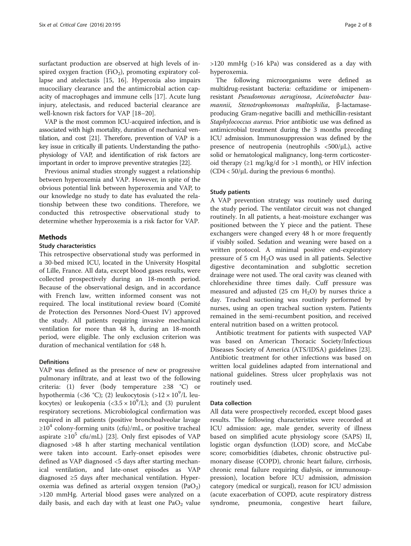surfactant production are observed at high levels of inspired oxygen fraction (FiO<sub>2</sub>), promoting expiratory collapse and atelectasis [[15, 16](#page-6-0)]. Hyperoxia also impairs mucociliary clearance and the antimicrobial action capacity of macrophages and immune cells [[17\]](#page-6-0). Acute lung injury, atelectasis, and reduced bacterial clearance are well-known risk factors for VAP [[18](#page-6-0)–[20](#page-6-0)].

VAP is the most common ICU-acquired infection, and is associated with high mortality, duration of mechanical ventilation, and cost [\[21](#page-6-0)]. Therefore, prevention of VAP is a key issue in critically ill patients. Understanding the pathophysiology of VAP, and identification of risk factors are important in order to improve preventive strategies [\[22](#page-6-0)].

Previous animal studies strongly suggest a relationship between hyperoxemia and VAP. However, in spite of the obvious potential link between hyperoxemia and VAP, to our knowledge no study to date has evaluated the relationship between these two conditions. Therefore, we conducted this retrospective observational study to determine whether hyperoxemia is a risk factor for VAP.

#### **Methods**

#### Study characteristics

This retrospective observational study was performed in a 30-bed mixed ICU, located in the University Hospital of Lille, France. All data, except blood gases results, were collected prospectively during an 18-month period. Because of the observational design, and in accordance with French law, written informed consent was not required. The local institutional review board (Comité de Protection des Personnes Nord-Ouest IV) approved the study. All patients requiring invasive mechanical ventilation for more than 48 h, during an 18-month period, were eligible. The only exclusion criterion was duration of mechanical ventilation for ≤48 h.

#### **Definitions**

VAP was defined as the presence of new or progressive pulmonary infiltrate, and at least two of the following criteria: (1) fever (body temperature ≥38 °C) or hypothermia (<36 °C); (2) leukocytosis (> $12 \times 10^9$ /L leukocytes) or leukopenia  $(<3.5 \times 10^9/L$ ); and (3) purulentrespiratory secretions. Microbiological confirmation was required in all patients (positive bronchoalveolar lavage  $\geq 10^4$  colony-forming units (cfu)/mL, or positive tracheal aspirate ≥10<sup>5</sup> cfu/mL) [[23](#page-6-0)]. Only first episodes of VAP diagnosed >48 h after starting mechanical ventilation were taken into account. Early-onset episodes were defined as VAP diagnosed <5 days after starting mechanical ventilation, and late-onset episodes as VAP diagnosed ≥5 days after mechanical ventilation. Hyperoxemia was defined as arterial oxygen tension  $(PaO<sub>2</sub>)$ >120 mmHg. Arterial blood gases were analyzed on a daily basis, and each day with at least one  $PaO<sub>2</sub>$  value

>120 mmHg (>16 kPa) was considered as a day with hyperoxemia.

The following microorganisms were defined as multidrug-resistant bacteria: ceftazidime or imipenemresistant Pseudomonas aeruginosa, Acinetobacter baumannii, Stenotrophomonas maltophilia, β-lactamaseproducing Gram-negative bacilli and methicillin-resistant Staphylococcus aureus. Prior antibiotic use was defined as antimicrobial treatment during the 3 months preceding ICU admission. Immunosuppression was defined by the presence of neutropenia (neutrophils <500/μL), active solid or hematological malignancy, long-term corticosteroid therapy (≥1 mg/kg/d for >1 month), or HIV infection  $(CD4 < 50/\mu L)$  during the previous 6 months).

#### Study patients

A VAP prevention strategy was routinely used during the study period. The ventilator circuit was not changed routinely. In all patients, a heat-moisture exchanger was positioned between the Y piece and the patient. These exchangers were changed every 48 h or more frequently if visibly soiled. Sedation and weaning were based on a written protocol. A minimal positive end-expiratory pressure of 5 cm  $H<sub>2</sub>O$  was used in all patients. Selective digestive decontamination and subglottic secretion drainage were not used. The oral cavity was cleaned with chlorehexidine three times daily. Cuff pressure was measured and adjusted (25 cm  $H_2O$ ) by nurses thrice a day. Tracheal suctioning was routinely performed by nurses, using an open tracheal suction system. Patients remained in the semi-recumbent position, and received enteral nutrition based on a written protocol.

Antibiotic treatment for patients with suspected VAP was based on American Thoracic Society/Infectious Diseases Society of America (ATS/IDSA) guidelines [\[23](#page-6-0)]. Antibiotic treatment for other infections was based on written local guidelines adapted from international and national guidelines. Stress ulcer prophylaxis was not routinely used.

#### Data collection

All data were prospectively recorded, except blood gases results. The following characteristics were recorded at ICU admission: age, male gender, severity of illness based on simplified acute physiology score (SAPS) II, logistic organ dysfunction (LOD) score, and McCabe score; comorbidities (diabetes, chronic obstructive pulmonary disease (COPD), chronic heart failure, cirrhosis, chronic renal failure requiring dialysis, or immunosuppression), location before ICU admission, admission category (medical or surgical), reason for ICU admission (acute exacerbation of COPD, acute respiratory distress syndrome, pneumonia, congestive heart failure,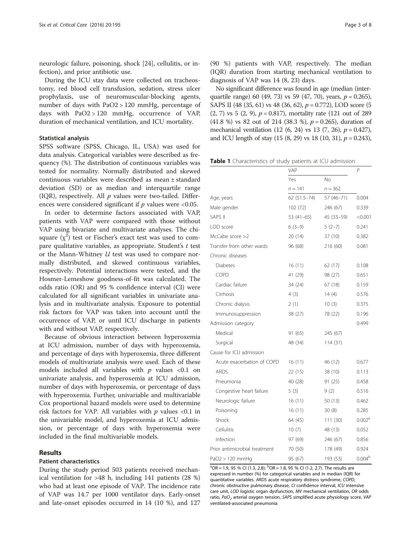<span id="page-2-0"></span>neurologic failure, poisoning, shock [\[24](#page-6-0)], cellulitis, or infection), and prior antibiotic use.

During the ICU stay data were collected on tracheostomy, red blood cell transfusion, sedation, stress ulcer prophylaxis, use of neuromuscular-blocking agents, number of days with PaO2 > 120 mmHg, percentage of days with PaO2 > 120 mmHg, occurrence of VAP, duration of mechanical ventilation, and ICU mortality.

#### Statistical analysis

SPSS software (SPSS, Chicago, IL, USA) was used for data analysis. Categorical variables were described as frequency (%). The distribution of continuous variables was tested for normality. Normally distributed and skewed continuous variables were described as mean ± standard deviation (SD) or as median and interquartile range (IQR), respectively. All  $p$  values were two-tailed. Differences were considered significant if  $p$  values were <0.05.

In order to determine factors associated with VAP, patients with VAP were compared with those without VAP using bivariate and multivariate analyses. The chisquare  $(\chi^2)$  test or Fischer's exact test was used to compare qualitative variables, as appropriate. Student's  $t$  test or the Mann-Whitney U test was used to compare normally distributed, and skewed continuous variables, respectively. Potential interactions were tested, and the Hosmer-Lemeshow goodness-of-fit was calculated. The odds ratio (OR) and 95 % confidence interval (CI) were calculated for all significant variables in univariate analysis and in multivariate analysis. Exposure to potential risk factors for VAP was taken into account until the occurrence of VAP, or until ICU discharge in patients with and without VAP, respectively.

Because of obvious interaction between hyperoxemia at ICU admission, number of days with hyperoxemia, and percentage of days with hyperoxemia, three different models of multivariate analysis were used. Each of these models included all variables with  $p$  values <0.1 on univariate analysis, and hyperoxemia at ICU admission, number of days with hyperoxemia, or percentage of days with hyperoxemia. Further, univariable and multivariable Cox proportional hazard models were used to determine risk factors for VAP. All variables with  $p$  values <0.1 in the univariable model, and hyperoxemia at ICU admission, or percentage of days with hyperoxemia were included in the final multivariable models.

#### Results

#### Patient characteristics

During the study period 503 patients received mechanical ventilation for >48 h, including 141 patients (28 %) who had at least one episode of VAP. The incidence rate of VAP was 14.7 per 1000 ventilator days. Early-onset and late-onset episodes occurred in 14 (10 %), and 127

(90 %) patients with VAP, respectively. The median (IQR) duration from starting mechanical ventilation to diagnosis of VAP was 14 (8, 23) days.

No significant difference was found in age (median (interquartile range) 60 (49, 73) vs 59 (47, 70), years,  $p = 0.265$ ), SAPS II (48 (35, 61) vs 48 (36, 62),  $p = 0.772$ ), LOD score (5  $(2, 7)$  vs 5  $(2, 9)$ ,  $p = 0.817$ ), mortality rate (121 out of 289  $(41.8 \%)$  vs 82 out of 214 (38.3 %),  $p = 0.265$ ), duration of mechanical ventilation (12 (6, 24) vs 13 (7, 26),  $p = 0.427$ ), and ICU length of stay  $(15 (8, 29) \text{ vs } 18 (10, 31), p = 0.243)$ ,

Table 1 Characteristics of study patients at ICU admission

|                               | VAP          | P          |                    |  |
|-------------------------------|--------------|------------|--------------------|--|
|                               | Yes          | <b>No</b>  |                    |  |
|                               | $n = 141$    | $n = 362$  |                    |  |
| Age, years                    | 62 (51.5-74) | 57 (46-71) | 0.004              |  |
| Male gender                   | 102 (72)     | 246 (67)   | 0.339              |  |
| SAPS II                       | 53 $(41-65)$ | 45 (33-59) | < 0.001            |  |
| LOD score                     | $6(3-9)$     | $5(2-7)$   | 0.241              |  |
| McCabe score >2               | 20(14)       | 37 (10)    | 0.382              |  |
| Transfer from other wards     | 96 (68)      | 216 (60)   | 0.081              |  |
| Chronic diseases              |              |            |                    |  |
| <b>Diabetes</b>               | 16(11)       | 62 (17)    | 0.108              |  |
| COPD                          | 41 (29)      | 98 (27)    | 0.651              |  |
| Cardiac failure               | 34 (24)      | 67 (18)    | 0.159              |  |
| Cirrhosis                     | 4(3)         | 14 $(4)$   | 0.576              |  |
| Chronic dialysis              | 2(1)         | 10(3)      | 0.375              |  |
| Immunosuppression             | 38 (27)      | 78 (22)    | 0.196              |  |
| Admission category            |              |            | 0.499              |  |
| Medical                       | 91 (65)      | 245 (67)   |                    |  |
| Surgical                      | 48 (34)      | 114 (31)   |                    |  |
| Cause for ICU admission       |              |            |                    |  |
| Acute exacerbation of COPD    | 16(11)       | 46 (12)    | 0.677              |  |
| <b>ARDS</b>                   | 22 (15)      | 38 (10)    | 0.113              |  |
| Pneumonia                     | 40 (28)      | 91 (25)    | 0.458              |  |
| Congestive heart failure      | 5(3)         | 9(2)       | 0.516              |  |
| Neurologic failure            | 16(11)       | 50 (13)    | 0.462              |  |
| Poisoning                     | 16(11)       | 30(8)      | 0.285              |  |
| Shock                         | 64 (45)      | 111 (30)   | 0.002 <sup>a</sup> |  |
| Cellulitis                    | 10(7)        | 48 (13)    | 0.052              |  |
| Infection                     | 97 (69)      | 246 (67)   | 0.856              |  |
| Prior antimicrobial treatment | 70 (50)      | 178 (49)   | 0.924              |  |
| PaO2 > 120 mmHg               | 95 (67)      | 193 (53)   | 0.004 <sup>b</sup> |  |

 ${}^{a}OR = 1.9$ , 95 % CI (1.3, 2.8);  ${}^{b}OR = 1.8$ , 95 % CI (1.2, 2.7). The results are expressed in number (%) for categorical variables and in median (IQR) for quantitative variables. ARDS acute respiratory distress syndrome, COPD, chronic obstructive pulmonary disease, CI confidence interval, ICU intensive care unit, LOD logistic organ dysfunction, MV mechanical ventilation, OR odds ratio,  $PaO<sub>2</sub>$  arterial oxygen tension, SAPS simplified acute physiology score, VAF ventilated-associated pneumonia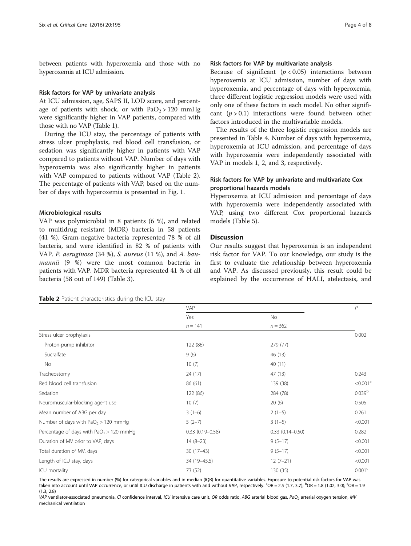between patients with hyperoxemia and those with no hyperoxemia at ICU admission.

#### Risk factors for VAP by univariate analysis

At ICU admission, age, SAPS II, LOD score, and percentage of patients with shock, or with  $PaO<sub>2</sub> > 120$  mmHg were significantly higher in VAP patients, compared with those with no VAP (Table [1](#page-2-0)).

During the ICU stay, the percentage of patients with stress ulcer prophylaxis, red blood cell transfusion, or sedation was significantly higher in patients with VAP compared to patients without VAP. Number of days with hyperoxemia was also significantly higher in patients with VAP compared to patients without VAP (Table 2). The percentage of patients with VAP, based on the number of days with hyperoxemia is presented in Fig. [1.](#page-4-0)

#### Microbiological results

VAP was polymicrobial in 8 patients (6 %), and related to multidrug resistant (MDR) bacteria in 58 patients (41 %). Gram-negative bacteria represented 78 % of all bacteria, and were identified in 82 % of patients with VAP. P. aeruginosa (34 %), S. aureus (11 %), and A. baumannii (9 %) were the most common bacteria in patients with VAP. MDR bacteria represented 41 % of all bacteria (58 out of 149) (Table [3](#page-4-0)).

#### Risk factors for VAP by multivariate analysis

Because of significant  $(p < 0.05)$  interactions between hyperoxemia at ICU admission, number of days with hyperoxemia, and percentage of days with hyperoxemia, three different logistic regression models were used with only one of these factors in each model. No other significant  $(p > 0.1)$  interactions were found between other factors introduced in the multivariable models.

The results of the three logistic regression models are presented in Table [4.](#page-5-0) Number of days with hyperoxemia, hyperoxemia at ICU admission, and percentage of days with hyperoxemia were independently associated with VAP in models 1, 2, and 3, respectively.

#### Risk factors for VAP by univariate and multivariate Cox proportional hazards models

Hyperoxemia at ICU admission and percentage of days with hyperoxemia were independently associated with VAP, using two different Cox proportional hazards models (Table [5](#page-5-0)).

### Discussion

Our results suggest that hyperoxemia is an independent risk factor for VAP. To our knowledge, our study is the first to evaluate the relationship between hyperoxemia and VAP. As discussed previously, this result could be explained by the occurrence of HALI, atelectasis, and

Table 2 Patient characteristics during the ICU stay

 $VAP$ Yes No. 2012 No. 2012 No. 2012 No. 2012 No. 2012 No. 2012 No. 2012 No. 2012 No. 2012 No. 2012 No. 20  $n = 141$   $n = 362$ Stress ulcer prophylaxis 0.002 Proton-pump inhibitor 122 (86) 279 (77) Sucralfate  $9(6)$   $46(13)$ No 10 (7) 40 (11) Tracheostomy 24 (17) 47 (13) 0.243 Red blood cell transfusion  $86(61)$   $86(61)$   $139(38)$   $<0.001<sup>a</sup>$ Sedation 284 (78) 284 (78) 284 (78) 284 (78) 284 (78) 284 (78) 284 (78) 284 (78) 284 (78) 284 (78) 284 (78) 284 (78) 284 (78) 284 (78) 284 (78) 284 (78) 284 (78) 284 (78) 284 (78) 284 (78) 284 (78) 284 (78) 284 (78) 284 ( Neuromuscular-blocking agent use 10 (7) 20 (6) 20 (6) 0.505 Mean number of ABG per day  $3(1-6)$   $2(1-5)$   $2(1-5)$   $0.261$ Number of days with  $PaO_2 > 120$  mmHg  $5(2-7)$   $3(1-5)$   $3(1-5)$   $(5-6)$   $3(1-5)$   $(6-6)$ Percentage of days with PaO<sub>2</sub> > 120 mmHg 0.33 (0.19–0.58) 0.33 (0.19–0.58) 0.33 (0.14–0.50) 0.282 Duration of MV prior to VAP, days  $14 (8-23)$  9 (5–17) <0.001 Total duration of MV, days  $30(17-43)$   $9(5-17)$   $(5-17)$   $(5-17)$   $(5-17)$ Length of ICU stay, days  $34 (19-45.5)$   $12 (7-21)$   $(7-21)$   $(8.001)$  $ICU$  mortality  $73 (52)$   $130 (35)$   $0.001^c$ 

The results are expressed in number (%) for categorical variables and in median (IQR) for quantitative variables. Exposure to potential risk factors for VAP was taken into account until VAP occurrence, or until ICU discharge in patients with and without VAP, respectively. <sup>a</sup>OR = 2.5 (1.7, 3.7); <sup>b</sup>OR = 1.8 (1.02, 3.0); <sup>c</sup>OR = 1.9 (1.3, 2.8)

VAP ventilator-associated pneumonia, CI confidence interval, ICU intensive care unit, OR odds ratio, ABG arterial blood gas, PaO<sub>2</sub> arterial oxygen tension, MV mechanical ventilation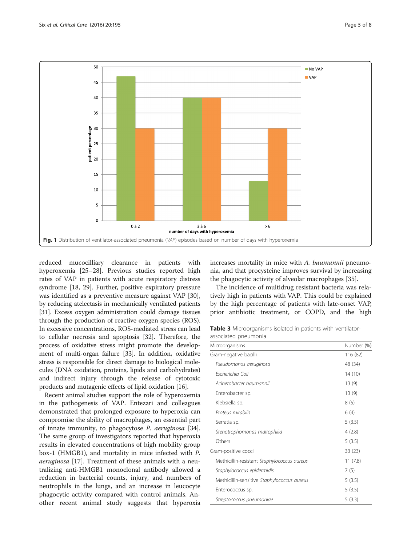<span id="page-4-0"></span>

reduced mucocilliary clearance in patients with hyperoxemia [[25](#page-6-0)–[28](#page-6-0)]. Previous studies reported high rates of VAP in patients with acute respiratory distress syndrome [\[18, 29\]](#page-6-0). Further, positive expiratory pressure was identified as a preventive measure against VAP [\[30](#page-7-0)], by reducing atelectasis in mechanically ventilated patients [[31](#page-7-0)]. Excess oxygen administration could damage tissues through the production of reactive oxygen species (ROS). In excessive concentrations, ROS-mediated stress can lead to cellular necrosis and apoptosis [\[32\]](#page-7-0). Therefore, the process of oxidative stress might promote the development of multi-organ failure [\[33\]](#page-7-0). In addition, oxidative stress is responsible for direct damage to biological molecules (DNA oxidation, proteins, lipids and carbohydrates) and indirect injury through the release of cytotoxic products and mutagenic effects of lipid oxidation [\[16](#page-6-0)].

Recent animal studies support the role of hyperoxemia in the pathogenesis of VAP. Entezari and colleagues demonstrated that prolonged exposure to hyperoxia can compromise the ability of macrophages, an essential part of innate immunity, to phagocytose P. aeruginosa [\[34](#page-7-0)]. The same group of investigators reported that hyperoxia results in elevated concentrations of high mobility group box-1 (HMGB1), and mortality in mice infected with P. aeruginosa [\[17](#page-6-0)]. Treatment of these animals with a neutralizing anti-HMGB1 monoclonal antibody allowed a reduction in bacterial counts, injury, and numbers of neutrophils in the lungs, and an increase in leucocyte phagocytic activity compared with control animals. Another recent animal study suggests that hyperoxia increases mortality in mice with A. baumannii pneumonia, and that procysteine improves survival by increasing the phagocytic activity of alveolar macrophages [\[35](#page-7-0)].

The incidence of multidrug resistant bacteria was relatively high in patients with VAP. This could be explained by the high percentage of patients with late-onset VAP, prior antibiotic treatment, or COPD, and the high

Table 3 Microorganisms isolated in patients with ventilatorassociated pneumonia

| Microorganisms                              | Number (%) |
|---------------------------------------------|------------|
| Gram-negative bacilli                       | 116 (82)   |
| Pseudomonas aeruginosa                      | 48 (34)    |
| Escherichia Coli                            | 14 (10)    |
| Acinetobacter baumannii                     | 13 (9)     |
| Enterobacter sp.                            | 13(9)      |
| Klebsiella sp.                              | 8(5)       |
| Proteus mirabilis                           | 6(4)       |
| Serratia sp.                                | 5(3.5)     |
| Stenotrophomonas maltophilia                | 4(2.8)     |
| Others                                      | 5(3.5)     |
| Gram-positive cocci                         | 33 (23)    |
| Methicillin-resistant Staphylococcus aureus | 11(7.8)    |
| Staphylococcus epidermidis                  | 7(5)       |
| Methicillin-sensitive Staphylococcus aureus | 5(3.5)     |
| Enterococcus sp.                            | 5(3.5)     |
| Streptococcus pneumoniae                    | 5(3.3)     |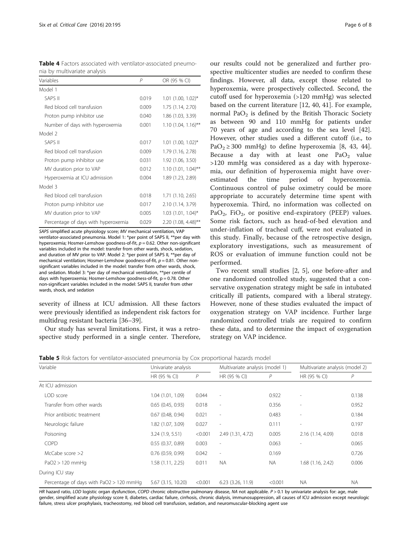<span id="page-5-0"></span>

|  |                              |  | <b>Table 4</b> Factors associated with ventilator-associated pneumo- |  |
|--|------------------------------|--|----------------------------------------------------------------------|--|
|  | nia by multivariate analysis |  |                                                                      |  |

| Variables                           | Р     | OR (95 % CI)          |
|-------------------------------------|-------|-----------------------|
| Model 1                             |       |                       |
| <b>SAPS II</b>                      | 0.019 | $1.01$ (1.00, 1.02)*  |
| Red blood cell transfusion          | 0.009 | 1.75 (1.14, 2.70)     |
| Proton pump inhibitor use           | 0.040 | 1.86 (1.03, 3.39)     |
| Number of days with hyperoxemia     | 0.001 | $1.10$ (1.04, 1.16)** |
| Model 2                             |       |                       |
| SAPS II                             | 0.017 | $1.01$ (1.00, 1.02)*  |
| Red blood cell transfusion          | 0.009 | 1.79 (1.16, 2.78)     |
| Proton pump inhibitor use           | 0.031 | 1.92 (1.06, 3.50)     |
| MV duration prior to VAP            | 0.012 | $1.10(1.01, 1.04)$ ** |
| Hyperoxemia at ICU admission        | 0.004 | 1.89 (1.23, 2.89)     |
| Model 3                             |       |                       |
| Red blood cell transfusion          | 0.018 | 1.71 (1.10, 2.65)     |
| Proton pump inhibitor use           | 0.017 | 2.10 (1.14, 3.79)     |
| MV duration prior to VAP            | 0.005 | $1.03$ (1.01, 1.04)*  |
| Percentage of days with hyperoxemia | 0.029 | 2.20 (1.08, 4.48)**   |

SAPS simplified acute physiology score; MV mechanical ventilation, VAP ventilator-associated pneumonia. Model 1: \*per point of SAPS II, \*\*per day with hyperoxemia; Hosmer-Lemshow goodness-of-fit,  $p = 0.62$ . Other non-significant variables included in the model: transfer from other wards, shock, sedation, and duration of MV prior to VAP. Model 2: \*per point of SAPS II, \*\*per day of mechanical ventilation; Hosmer-Lemshow goodness-of-fit,  $p = 0.81$ . Other nonsignificant variables included in the model: transfer from other wards, shock, and sedation. Model 3: \*per day of mechanical ventilation, \*\*per centile of days with hyperoxemia; Hosmer-Lemshow goodness-of-fit, p = 0.78. Other non-significant variables included in the model: SAPS II, transfer from other wards, shock, and sedation

severity of illness at ICU admission. All these factors were previously identified as independent risk factors for multidrug resistant bacteria [[36](#page-7-0)–[39](#page-7-0)].

Our study has several limitations. First, it was a retrospective study performed in a single center. Therefore, our results could not be generalized and further prospective multicenter studies are needed to confirm these findings. However, all data, except those related to hyperoxemia, were prospectively collected. Second, the cutoff used for hyperoxemia (>120 mmHg) was selected based on the current literature [\[12,](#page-6-0) [40](#page-7-0), [41](#page-7-0)]. For example, normal Pa $O<sub>2</sub>$  is defined by the British Thoracic Society as between 90 and 110 mmHg for patients under 70 years of age and according to the sea level [\[42](#page-7-0)]. However, other studies used a different cutoff (i.e., to PaO<sub>2</sub>  $\geq$  300 mmHg) to define hyperoxemia [[8,](#page-6-0) [43](#page-7-0), [44](#page-7-0)]. Because a day with at least one  $PaO<sub>2</sub>$  value >120 mmHg was considered as a day with hyperoxemia, our definition of hyperoxemia might have overestimated the time period of hyperoxemia. Continuous control of pulse oximetry could be more appropriate to accurately determine time spent with hyperoxemia. Third, no information was collected on PaO<sub>2</sub>, FiO<sub>2</sub>, or positive end-expiratory (PEEP) values. Some risk factors, such as head-of-bed elevation and under-inflation of tracheal cuff, were not evaluated in this study. Finally, because of the retrospective design, exploratory investigations, such as measurement of ROS or evaluation of immune function could not be performed.

Two recent small studies [[2, 5\]](#page-6-0), one before-after and one randomized controlled study, suggested that a conservative oxygenation strategy might be safe in intubated critically ill patients, compared with a liberal strategy. However, none of these studies evaluated the impact of oxygenation strategy on VAP incidence. Further large randomized controlled trials are required to confirm these data, and to determine the impact of oxygenation strategy on VAP incidence.

| <b>Table 5</b> Risk factors for ventilator-associated pneumonia by Cox proportional hazards model |  |  |  |
|---------------------------------------------------------------------------------------------------|--|--|--|
|---------------------------------------------------------------------------------------------------|--|--|--|

| Variable                                | Univariate analysis   |               | Multivariate analysis (model 1) |           | Multivariate analysis (model 2) |           |
|-----------------------------------------|-----------------------|---------------|---------------------------------|-----------|---------------------------------|-----------|
|                                         | HR (95 % CI)          | $\mathcal{P}$ | HR (95 % CI)                    | P         | HR (95 % CI)                    | P         |
| At ICU admission                        |                       |               |                                 |           |                                 |           |
| LOD score                               | 1.04 (1.01, 1.09)     | 0.044         | $\sim$                          | 0.922     | $\overline{\phantom{a}}$        | 0.138     |
| Transfer from other wards               | 0.65(0.45, 0.93)      | 0.018         | $\overline{\phantom{a}}$        | 0.356     | $\overline{\phantom{a}}$        | 0.952     |
| Prior antibiotic treatment              | $0.67$ (0.48, 0.94)   | 0.021         | $\overline{\phantom{a}}$        | 0.483     | $\sim$                          | 0.184     |
| Neurologic failure                      | 1.82 (1.07, 3.09)     | 0.027         | $\sim$                          | 0.111     | $\overline{\phantom{a}}$        | 0.197     |
| Poisoning                               | 3.24(1.9, 5.51)       | < 0.001       | 2.49 (1.31, 4.72)               | 0.005     | 2.16 (1.14, 4.09)               | 0.018     |
| <b>COPD</b>                             | 0.55(0.37, 0.89)      | 0.003         | $\overline{\phantom{a}}$        | 0.063     | $\overline{\phantom{a}}$        | 0.065     |
| McCabe score $>$ ?                      | $0.76$ $(0.59, 0.99)$ | 0.042         | $\overline{\phantom{a}}$        | 0.169     |                                 | 0.726     |
| $PaO2 > 120$ mmHg                       | 1.58(1.11, 2.25)      | 0.011         | <b>NA</b>                       | <b>NA</b> | 1.68(1.16, 2.42)                | 0.006     |
| During ICU stay                         |                       |               |                                 |           |                                 |           |
| Percentage of days with PaO2 > 120 mmHg | 5.67 (3.15, 10.20)    | < 0.001       | $6.23$ $(3.26, 11.9)$           | < 0.001   | <b>NA</b>                       | <b>NA</b> |

HR hazard ratio, LOD logistic organ dysfunction, COPD chronic obstructive pulmonary disease, NA not applicable.  $P > 0.1$  by univariate analysis for: age, male gender, simplified acute physiology score II, diabetes, cardiac failure, cirrhosis, chronic dialysis, immunosuppression, all causes of ICU admission except neurologic failure, stress ulcer prophylaxis, tracheostomy, red blood cell transfusion, sedation, and neuromuscular-blocking agent use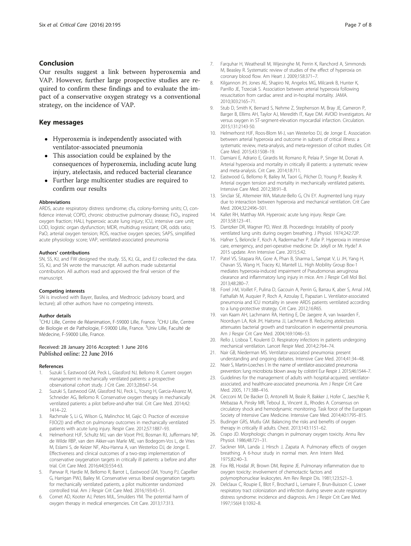#### <span id="page-6-0"></span>Conclusion

Our results suggest a link between hyperoxemia and VAP. However, further large prospective studies are required to confirm these findings and to evaluate the impact of a conservative oxygen strategy vs a conventional strategy, on the incidence of VAP.

#### Key messages

- Hyperoxemia is independently associated with ventilator-associated pneumonia
- This association could be explained by the consequences of hyperoxemia, including acute lung injury, atelectasis, and reduced bacterial clearance
- Further large multicenter studies are required to confirm our results

#### **Abbreviations**

ARDS, acute respiratory distress syndrome; cfu, colony-forming units; CI, confidence interval; COPD, chronic obstructive pulmonary disease;  $FiO<sub>2</sub>$ , inspired oxygen fraction; HALI, hyperoxic acute lung injury; ICU, intensive care unit; LOD, logistic organ dysfunction; MDR, multidrug resistant; OR, odds ratio; PaO, arterial oxygen tension; ROS, reactive oxygen species; SAPS, simplified acute physiology score; VAP, ventilated-associated pneumonia

#### Authors' contributions

SN, SS, KJ, and FW designed the study. SS, KJ, GL, and EJ collected the data. SS, KJ, and SN wrote the manuscript. All authors made substantial contribution. All authors read and approved the final version of the manuscript.

#### Competing interests

SN is involved with Bayer, Basilea, and Medtrocic (advisory board, and lecture); all other authors have no competing interests.

#### Author details

<sup>1</sup>CHU Lille, Centre de Réanimation, F-59000 Lille, France. <sup>2</sup>CHU Lille, Centre de Biologie et de Pathologie, F-59000 Lille, France. <sup>3</sup>Univ Lille, Faculté de Médecine, F-59000 Lille, France.

# Received: 28 January 2016 Accepted: 1 June 2016

#### References

- 1. Suzuki S, Eastwood GM, Peck L, Glassford NJ, Bellomo R. Current oxygen management in mechanically ventilated patients: a prospective observational cohort study. J Crit Care. 2013;28:647–54.
- 2. Suzuki S, Eastwood GM, Glassford NJ, Peck L, Young H, Garcia-Alvarez M, Schneider AG, Bellomo R. Conservative oxygen therapy in mechanically ventilated patients: a pilot before-and-after trial. Crit Care Med. 2014;42: 1414–22.
- 3. Rachmale S, Li G, Wilson G, Malinchoc M, Gajic O. Practice of excessive F(IO(2)) and effect on pulmonary outcomes in mechanically ventilated patients with acute lung injury. Respir Care. 2012;57:1887–93.
- 4. Helmerhorst HJF, Schultz MJ, van der Voort PHJ, Bosman RJ, Juffermans NP, de Wilde RBP, van den Akker-van Marle ME, van Bodegom-Vos L, de Vries M, Eslami S, de Keizer NF, Abu-Hanna A, van Westerloo DJ, de Jonge E. Effectiveness and clinical outcomes of a two-step implementation of conservative oxygenation targets in critically ill patients: a before and after trial. Crit Care Med. 2016;44(3):554-63.
- Panwar R, Hardie M, Bellomo R, Barrot L, Eastwood GM, Young PJ, Capellier G, Harrigan PWJ, Bailey M. Conservative versus liberal oxygenation targets for mechanically ventilated patients, a pilot multicenter randomized controlled trial. Am J Respir Crit Care Med. 2016;193:43–51.
- 6. Cornet AD, Kooter AJ, Peters MJL, Smulders YM. The potential harm of oxygen therapy in medical emergencies. Crit Care. 2013;17:313.
- 7. Farquhar H, Weatherall M, Wijesinghe M, Perrin K, Ranchord A, Simmonds M, Beasley R. Systematic review of studies of the effect of hyperoxia on coronary blood flow. Am Heart J. 2009;158:371–7.
- 8. Kilgannon JH, Jones AE, Shapiro NI, Angelos MG, Milcarek B, Hunter K, Parrillo JE, Trzeciak S. Association between arterial hyperoxia following resuscitation from cardiac arrest and in-hospital mortality. JAMA. 2010;303:2165–71.
- 9. Stub D, Smith K, Bernard S, Nehme Z, Stephenson M, Bray JE, Cameron P, Barger B, Ellims AH, Taylor AJ, Meredith IT, Kaye DM. AVOID Investigators. Air versus oxygen in ST-segment-elevation myocardial infarction. Circulation. 2015;131:2143-50.
- 10. Helmerhorst HJF, Roos-Blom M-J, van Westerloo DJ, de Jonge E. Association between arterial hyperoxia and outcome in subsets of critical illness: a systematic review, meta-analysis, and meta-regression of cohort studies. Crit Care Med. 2015;43:1508–19.
- 11. Damiani E, Adrario E, Girardis M, Romano R, Pelaia P, Singer M, Donati A. Arterial hyperoxia and mortality in critically ill patients: a systematic review and meta-analysis. Crit Care. 2014;18:711.
- 12. Eastwood G, Bellomo R, Bailey M, Taori G, Pilcher D, Young P, Beasley R. Arterial oxygen tension and mortality in mechanically ventilated patients. Intensive Care Med. 2012;38:91–8.
- 13. Sinclair SE, Altemeier WA, Matute-Bello G, Chi EY. Augmented lung injury due to interaction between hyperoxia and mechanical ventilation. Crit Care Med. 2004;32:2496–501.
- 14. Kallet RH, Matthay MA. Hyperoxic acute lung injury. Respir Care. 2013;58:123–41.
- 15. Dantzker DR, Wagner PD, West JB. Proceedings: Instability of poorly ventilated lung units during oxygen breathing. J Physiol. 1974;242:72P.
- 16. Hafner S, Beloncle F, Koch A, Radermacher P, Asfar P. Hyperoxia in intensive care, emergency, and peri-operative medicine: Dr. Jekyll or Mr. Hyde? A 2015 update. Ann Intensive Care. 2015;5:42.
- 17. Patel VS, Sitapara RA, Gore A, Phan B, Sharma L, Sampat V, Li JH, Yang H, Chavan SS, Wang H, Tracey KJ, Mantell LL. High Mobility Group Box-1 mediates hyperoxia-induced impairment of Pseudomonas aeruginosa clearance and inflammatory lung injury in mice. Am J Respir Cell Mol Biol. 2013;48:280–7.
- 18. Forel J-M, Voillet F, Pulina D, Gacouin A, Perrin G, Barrau K, aber S, Arnal J-M, Fathallah M, Auquier P, Roch A, Azoulay E, Papazian L. Ventilator-associated pneumonia and ICU mortality in severe ARDS patients ventilated according to a lung-protective strategy. Crit Care. 2012;16:R65.
- 19. van Kaam AH, Lachmann RA, Herting E, De Jaegere A, van Iwaarden F, Noorduyn LA, Kok JH, Haitsma JJ, Lachmann B. Reducing atelectasis attenuates bacterial growth and translocation in experimental pneumonia. Am J Respir Crit Care Med. 2004;169:1046–53.
- 20. Rello J, Lisboa T, Koulenti D. Respiratory infections in patients undergoing mechanical ventilation. Lancet Respir Med. 2014;2:764–74.
- 21. Nair GB, Niederman MS. Ventilator-associated pneumonia: present understanding and ongoing debates. Intensive Care Med. 2014;41:34–48.
- 22. Nseir S, Martin-Loeches I. In the name of ventilator-associated pneumonia prevention: lung microbiota blown away by colistin! Eur Respir J. 2015;46:1544–7.
- 23. Guidelines for the management of adults with hospital-acquired, ventilatorassociated, and healthcare-associated pneumonia. Am J Respir Crit Care Med. 2005, 171:388–416.
- 24. Cecconi M, De Backer D, Antonelli M, Beale R, Bakker J, Hofer C, Jaeschke R, Mebazaa A, Pinsky MR, Teboul JL, Vincent JL, Rhodes A. Consensus on circulatory shock and hemodynamic monitoring. Task force of the European Society of Intensive Care Medicine. Intensive Care Med. 2014;40:1795–815.
- 25. Budinger GRS, Mutlu GM. Balancing the risks and benefits of oxygen therapy in critically ill adults. Chest. 2013;143:1151–62.
- 26. Crapo JD. Morphologic changes in pulmonary oxygen toxicity. Annu Rev Physiol. 1986;48:721–31.
- 27. Sackner MA, Landa J, Hirsch J, Zapata A. Pulmonary effects of oxygen breathing. A 6-hour study in normal men. Ann Intern Med. 1975;82:40–3.
- 28. Fox RB, Hoidal JR, Brown DM, Repine JE. Pulmonary inflammation due to oxygen toxicity: involvement of chemotactic factors and polymorphonuclear leukocytes. Am Rev Respir Dis. 1981;123:521–3.
- 29. Delclaux C, Roupie E, Blot F, Brochard L, Lemaire F, Brun-Buisson C. Lower respiratory tract colonization and infection during severe acute respiratory distress syndrome: incidence and diagnosis. Am J Respir Crit Care Med. 1997;156(4 I):1092–8.